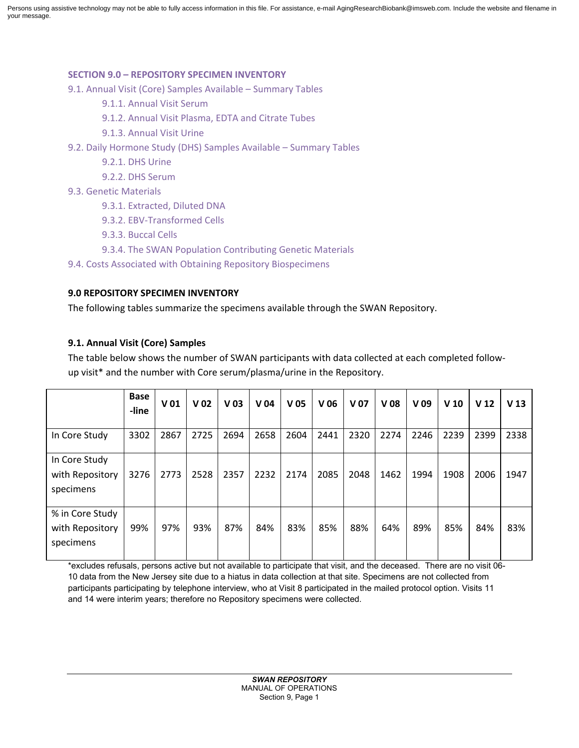Persons using assistive technology may not be able to fully access information in this file. For assistance, e-mail AgingResearchBiobank@imsweb.com. Include the website and filename in your message.

# **SECTION 9.0 – REPOSITORY SPECIMEN INVENTORY**

9.1. Annual Visit (Core) Samples Available – Summary Tables

- 9.1.1. Annual Visit Serum
- 9.1.2. Annual Visit Plasma, EDTA and Citrate Tubes
- 9.1.3. Annual Visit Urine
- 9.2. Daily Hormone Study (DHS) Samples Available Summary Tables
	- 9.2.1. DHS Urine
	- 9.2.2. DHS Serum
- 9.3. Genetic Materials
	- 9.3.1. Extracted, Diluted DNA
	- 9.3.2. EBV-Transformed Cells
	- 9.3.3. Buccal Cells
	- 9.3.4. The SWAN Population Contributing Genetic Materials
- 9.4. Costs Associated with Obtaining Repository Biospecimens

# **9.0 REPOSITORY SPECIMEN INVENTORY**

The following tables summarize the specimens available through the SWAN Repository.

# **9.1. Annual Visit (Core) Samples**

The table below shows the number of SWAN participants with data collected at each completed followup visit\* and the number with Core serum/plasma/urine in the Repository.

|                                                 | <b>Base</b><br>-line | V <sub>01</sub> | V <sub>02</sub> | V <sub>03</sub> | V <sub>04</sub> | V <sub>05</sub> | V <sub>06</sub> | V <sub>07</sub> | V <sub>08</sub> | V <sub>09</sub> | V <sub>10</sub> | V <sub>12</sub> | V <sub>13</sub> |
|-------------------------------------------------|----------------------|-----------------|-----------------|-----------------|-----------------|-----------------|-----------------|-----------------|-----------------|-----------------|-----------------|-----------------|-----------------|
| In Core Study                                   | 3302                 | 2867            | 2725            | 2694            | 2658            | 2604            | 2441            | 2320            | 2274            | 2246            | 2239            | 2399            | 2338            |
| In Core Study<br>with Repository<br>specimens   | 3276                 | 2773            | 2528            | 2357            | 2232            | 2174            | 2085            | 2048            | 1462            | 1994            | 1908            | 2006            | 1947            |
| % in Core Study<br>with Repository<br>specimens | 99%                  | 97%             | 93%             | 87%             | 84%             | 83%             | 85%             | 88%             | 64%             | 89%             | 85%             | 84%             | 83%             |

\*excludes refusals, persons active but not available to participate that visit, and the deceased. There are no visit 06- 10 data from the New Jersey site due to a hiatus in data collection at that site. Specimens are not collected from participants participating by telephone interview, who at Visit 8 participated in the mailed protocol option. Visits 11 and 14 were interim years; therefore no Repository specimens were collected.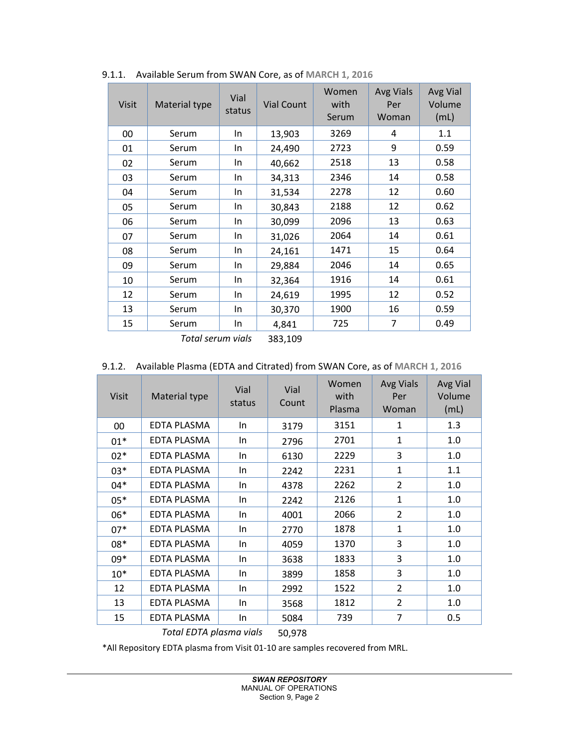| <b>Visit</b> | Material type | Vial<br>status | <b>Vial Count</b> | Women<br>with<br>Serum | <b>Avg Vials</b><br>Per<br>Woman | Avg Vial<br>Volume<br>(mL) |
|--------------|---------------|----------------|-------------------|------------------------|----------------------------------|----------------------------|
| 00           | Serum         | In.            | 13,903            | 3269                   | 4                                | 1.1                        |
| 01           | Serum         | In.            | 24,490            | 2723                   | 9                                | 0.59                       |
| 02           | Serum         | In             | 40,662            | 2518                   | 13                               | 0.58                       |
| 03           | Serum         | In             | 34,313            | 2346                   | 14                               | 0.58                       |
| 04           | Serum         | In             | 31,534            | 2278                   | 12                               | 0.60                       |
| 05           | Serum         | In             | 30,843            | 2188                   | 12                               | 0.62                       |
| 06           | Serum         | In             | 30,099            | 2096                   | 13                               | 0.63                       |
| 07           | Serum         | In             | 31,026            | 2064                   | 14                               | 0.61                       |
| 08           | Serum         | In             | 24,161            | 1471                   | 15                               | 0.64                       |
| 09           | Serum         | In             | 29,884            | 2046                   | 14                               | 0.65                       |
| 10           | Serum         | In             | 32,364            | 1916                   | 14                               | 0.61                       |
| 12           | Serum         | In             | 24,619            | 1995                   | 12                               | 0.52                       |
| 13           | Serum         | In.            | 30,370            | 1900                   | 16                               | 0.59                       |
| 15           | Serum         | In             | 4,841             | 725                    | 7                                | 0.49                       |

9.1.1. Available Serum from SWAN Core, as of **MARCH 1, 2016**

*Total serum vials* 383,109

#### 9.1.2. Available Plasma (EDTA and Citrated) from SWAN Core, as of **MARCH 1, 2016**

| <b>Visit</b> | Material type      | Vial<br>status | Vial<br>Count | Women<br>with<br>Plasma | <b>Avg Vials</b><br>Per<br>Woman | Avg Vial<br>Volume<br>(mL) |
|--------------|--------------------|----------------|---------------|-------------------------|----------------------------------|----------------------------|
| 00           | <b>EDTA PLASMA</b> | In.            | 3179          | 3151                    | $\mathbf{1}$                     | 1.3                        |
| $01*$        | <b>EDTA PLASMA</b> | In             | 2796          | 2701                    | $\mathbf{1}$                     | 1.0                        |
| $02*$        | <b>EDTA PLASMA</b> | In             | 6130          | 2229                    | 3                                | 1.0                        |
| $03*$        | <b>EDTA PLASMA</b> | In.            | 2242          | 2231                    | $\mathbf{1}$                     | 1.1                        |
| 04*          | <b>EDTA PLASMA</b> | In.            | 4378          | 2262                    | $\overline{2}$                   | 1.0                        |
| $05*$        | <b>EDTA PLASMA</b> | In.            | 2242          | 2126                    | $\mathbf{1}$                     | 1.0                        |
| 06*          | EDTA PLASMA        | In             | 4001          | 2066                    | $\overline{2}$                   | 1.0                        |
| $07*$        | <b>EDTA PLASMA</b> | In             | 2770          | 1878                    | $\mathbf{1}$                     | 1.0                        |
| 08*          | EDTA PLASMA        | In.            | 4059          | 1370                    | 3                                | 1.0                        |
| 09*          | <b>EDTA PLASMA</b> | In             | 3638          | 1833                    | 3                                | 1.0                        |
| $10*$        | <b>EDTA PLASMA</b> | In.            | 3899          | 1858                    | 3                                | 1.0                        |
| 12           | <b>EDTA PLASMA</b> | In             | 2992          | 1522                    | $\overline{2}$                   | 1.0                        |
| 13           | EDTA PLASMA        | In             | 3568          | 1812                    | $\overline{2}$                   | 1.0                        |
| 15           | <b>EDTA PLASMA</b> | In             | 5084          | 739                     | $\overline{7}$                   | 0.5                        |
|              | _ _ _              |                |               |                         |                                  |                            |

*Total EDTA plasma vials* 50,978

\*All Repository EDTA plasma from Visit 01-10 are samples recovered from MRL.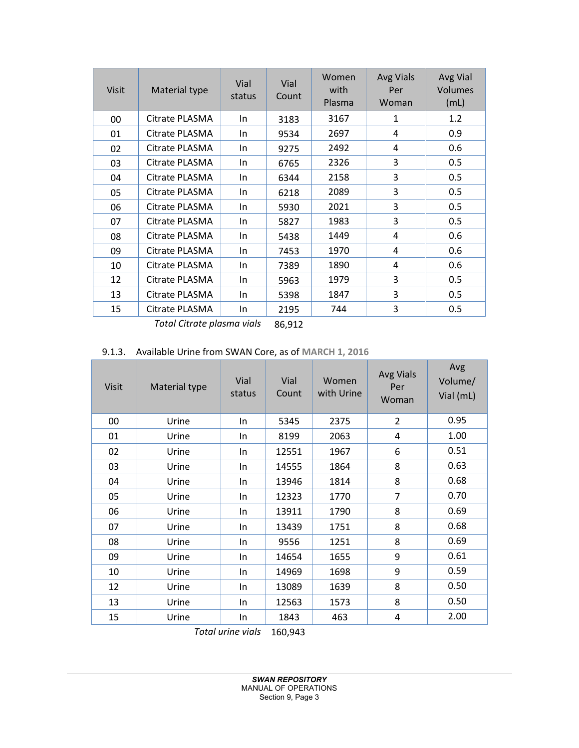| <b>Visit</b> | Material type  | Vial<br>status | Vial<br>Count | Women<br>with<br>Plasma | <b>Avg Vials</b><br>Per<br>Woman | Avg Vial<br>Volumes<br>(mL) |
|--------------|----------------|----------------|---------------|-------------------------|----------------------------------|-----------------------------|
| 00           | Citrate PLASMA | In.            | 3183          | 3167                    | 1                                | 1.2                         |
| 01           | Citrate PLASMA | In.            | 9534          | 2697                    | 4                                | 0.9                         |
| 02           | Citrate PLASMA | In.            | 9275          | 2492                    | 4                                | 0.6                         |
| 03           | Citrate PLASMA | In.            | 6765          | 2326                    | 3                                | 0.5                         |
| 04           | Citrate PLASMA | In.            | 6344          | 2158                    | 3                                | 0.5                         |
| 05           | Citrate PLASMA | In.            | 6218          | 2089                    | 3                                | 0.5                         |
| 06           | Citrate PLASMA | In.            | 5930          | 2021                    | 3                                | 0.5                         |
| 07           | Citrate PLASMA | In.            | 5827          | 1983                    | 3                                | 0.5                         |
| 08           | Citrate PLASMA | In.            | 5438          | 1449                    | 4                                | 0.6                         |
| 09           | Citrate PLASMA | In.            | 7453          | 1970                    | 4                                | 0.6                         |
| 10           | Citrate PLASMA | In.            | 7389          | 1890                    | 4                                | 0.6                         |
| 12           | Citrate PLASMA | In.            | 5963          | 1979                    | 3                                | 0.5                         |
| 13           | Citrate PLASMA | In.            | 5398          | 1847                    | 3                                | 0.5                         |
| 15           | Citrate PLASMA | In             | 2195          | 744                     | 3                                | 0.5                         |

*Total Citrate plasma vials* 86,912

# 9.1.3. Available Urine from SWAN Core, as of **MARCH 1, 2016**

| <b>Visit</b> | Material type | Vial<br>status | Vial<br>Count | Women<br>with Urine | <b>Avg Vials</b><br>Per<br>Woman | Avg<br>Volume/<br>Vial (mL) |
|--------------|---------------|----------------|---------------|---------------------|----------------------------------|-----------------------------|
| 00           | Urine         | In             | 5345          | 2375                | $\overline{2}$                   | 0.95                        |
| 01           | Urine         | In             | 8199          | 2063                | 4                                | 1.00                        |
| 02           | Urine         | In             | 12551         | 1967                | 6                                | 0.51                        |
| 03           | Urine         | In             | 14555         | 1864                | 8                                | 0.63                        |
| 04           | Urine         | In.            | 13946         | 1814                | 8                                | 0.68                        |
| 05           | Urine         | In.            | 12323         | 1770                | $\overline{7}$                   | 0.70                        |
| 06           | Urine         | In             | 13911         | 1790                | 8                                | 0.69                        |
| 07           | Urine         | In.            | 13439         | 1751                | 8                                | 0.68                        |
| 08           | Urine         | In             | 9556          | 1251                | 8                                | 0.69                        |
| 09           | Urine         | In             | 14654         | 1655                | 9                                | 0.61                        |
| 10           | Urine         | In             | 14969         | 1698                | 9                                | 0.59                        |
| 12           | Urine         | In             | 13089         | 1639                | 8                                | 0.50                        |
| 13           | Urine         | In             | 12563         | 1573                | 8                                | 0.50                        |
| 15           | Urine         | In             | 1843          | 463                 | 4                                | 2.00                        |

*Total urine vials* 160,943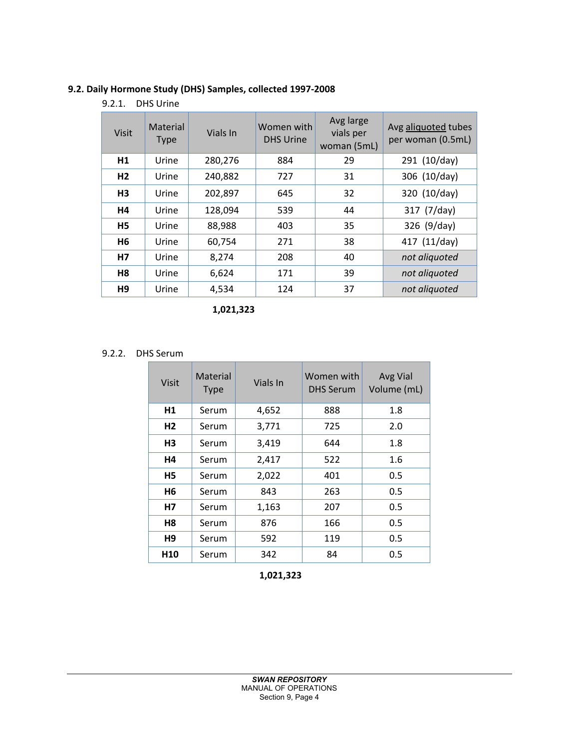# **9.2. Daily Hormone Study (DHS) Samples, collected 1997-2008**

9.2.1. DHS Urine

| <b>Visit</b>   | Material<br><b>Type</b> | Vials In | Women with<br><b>DHS Urine</b> | Avg large<br>vials per<br>woman (5mL) | Avg aliquoted tubes<br>per woman (0.5mL) |
|----------------|-------------------------|----------|--------------------------------|---------------------------------------|------------------------------------------|
| H1             | Urine                   | 280,276  | 884                            | 29                                    | 291 (10/day)                             |
| H <sub>2</sub> | Urine                   | 240,882  | 727                            | 31                                    | 306 (10/day)                             |
| H <sub>3</sub> | Urine                   | 202,897  | 645                            | 32                                    | 320 (10/day)                             |
| H4             | Urine                   | 128,094  | 539                            | 44                                    | 317 (7/day)                              |
| H <sub>5</sub> | Urine                   | 88,988   | 403                            | 35                                    | 326 (9/day)                              |
| H <sub>6</sub> | Urine                   | 60,754   | 271                            | 38                                    | 417 (11/day)                             |
| H7             | Urine                   | 8,274    | 208                            | 40                                    | not aliquoted                            |
| H <sub>8</sub> | Urine                   | 6,624    | 171                            | 39                                    | not aliquoted                            |
| H <sub>9</sub> | Urine                   | 4,534    | 124                            | 37                                    | not aliquoted                            |

 **1,021,323** 

# 9.2.2. DHS Serum

| <b>Visit</b>    | Material<br><b>Type</b> | Vials In | Women with<br><b>DHS Serum</b> | Avg Vial<br>Volume (mL) |
|-----------------|-------------------------|----------|--------------------------------|-------------------------|
| H1              | Serum                   | 4,652    | 888                            | 1.8                     |
| H <sub>2</sub>  | Serum                   | 3,771    | 725                            | 2.0                     |
| H <sub>3</sub>  | Serum                   | 3,419    | 644                            | 1.8                     |
| Н4              | Serum                   | 2,417    | 522                            | 1.6                     |
| H5              | Serum                   | 2,022    | 401                            | 0.5                     |
| H <sub>6</sub>  | Serum                   | 843      | 263                            | 0.5                     |
| <b>H7</b>       | Serum                   | 1,163    | 207                            | 0.5                     |
| Η8              | Serum                   | 876      | 166                            | 0.5                     |
| Н9              | Serum                   | 592      | 119                            | 0.5                     |
| H <sub>10</sub> | Serum                   | 342      | 84                             | 0.5                     |

 **1,021,323**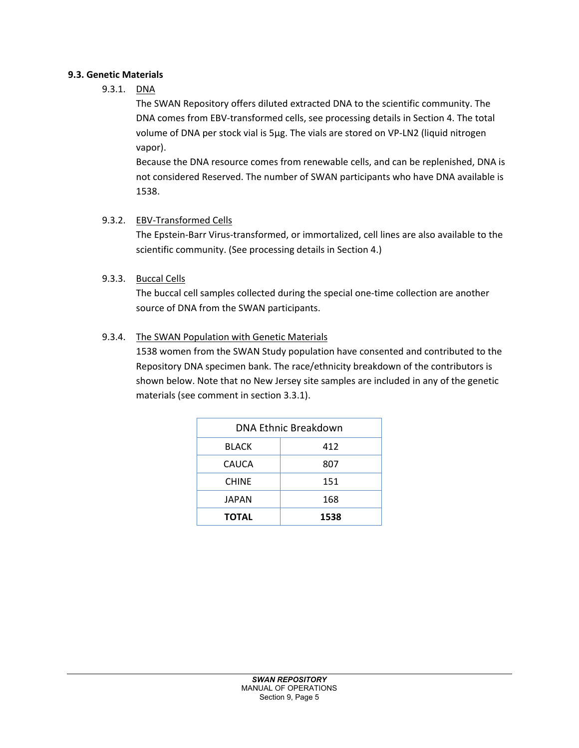# **9.3. Genetic Materials**

9.3.1. DNA

The SWAN Repository offers diluted extracted DNA to the scientific community. The DNA comes from EBV-transformed cells, see processing details in Section 4. The total volume of DNA per stock vial is 5µg. The vials are stored on VP-LN2 (liquid nitrogen vapor).

Because the DNA resource comes from renewable cells, and can be replenished, DNA is not considered Reserved. The number of SWAN participants who have DNA available is 1538.

# 9.3.2. EBV-Transformed Cells

The Epstein-Barr Virus-transformed, or immortalized, cell lines are also available to the scientific community. (See processing details in Section 4.)

# 9.3.3. Buccal Cells

The buccal cell samples collected during the special one-time collection are another source of DNA from the SWAN participants.

# 9.3.4. The SWAN Population with Genetic Materials

1538 women from the SWAN Study population have consented and contributed to the Repository DNA specimen bank. The race/ethnicity breakdown of the contributors is shown below. Note that no New Jersey site samples are included in any of the genetic materials (see comment in section 3.3.1).

| DNA Ethnic Breakdown |      |  |  |
|----------------------|------|--|--|
| <b>BLACK</b>         | 412  |  |  |
| CAUCA                | 807  |  |  |
| <b>CHINE</b>         | 151  |  |  |
| <b>JAPAN</b>         | 168  |  |  |
| <b>TOTAL</b>         | 1538 |  |  |